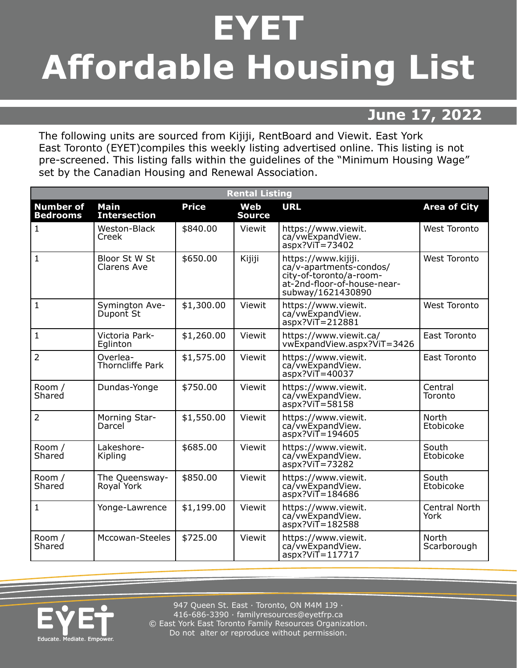## **EYET Affordable Housing List**

## **June 17, 2022**

The following units are sourced from Kijiji, RentBoard and Viewit. East York East Toronto (EYET)compiles this weekly listing advertised online. This listing is not pre-screened. This listing falls within the guidelines of the "Minimum Housing Wage" set by the Canadian Housing and Renewal Association.

| <b>Rental Listing</b>               |                                    |              |                      |                                                                                                                               |                       |  |
|-------------------------------------|------------------------------------|--------------|----------------------|-------------------------------------------------------------------------------------------------------------------------------|-----------------------|--|
| <b>Number of</b><br><b>Bedrooms</b> | <b>Main</b><br><b>Intersection</b> | <b>Price</b> | Web<br><b>Source</b> | <b>URL</b>                                                                                                                    | <b>Area of City</b>   |  |
| $\mathbf{1}$                        | Weston-Black<br>Creek              | \$840.00     | Viewit               | https://www.viewit.<br>ca/vwExpandView.<br>$aspx?V$ iT = 73402                                                                | <b>West Toronto</b>   |  |
| $\mathbf{1}$                        | Bloor St W St<br>Clarens Ave       | \$650.00     | Kijiji               | https://www.kijiji.<br>ca/v-apartments-condos/<br>city-of-toronto/a-room-<br>at-2nd-floor-of-house-near-<br>subway/1621430890 | <b>West Toronto</b>   |  |
| $\mathbf{1}$                        | Symington Ave-<br>Dupont St        | \$1,300.00   | Viewit               | https://www.viewit.<br>ca/vwExpandView.<br>$aspx?VIT = 212881$                                                                | <b>West Toronto</b>   |  |
| $\mathbf{1}$                        | Victoria Park-<br>Eglinton         | \$1,260.00   | Viewit               | https://www.viewit.ca/<br>vwExpandView.aspx?ViT=3426                                                                          | East Toronto          |  |
| $\overline{2}$                      | Overlea-<br>Thorncliffe Park       | \$1,575.00   | Viewit               | https://www.viewit.<br>ca/vwExpandView.<br>$aspx?ViT = 40037$                                                                 | East Toronto          |  |
| Room /<br>Shared                    | Dundas-Yonge                       | \$750.00     | Viewit               | https://www.viewit.<br>ca/vwExpandView.<br>aspx?ViT=58158                                                                     | Central<br>Toronto    |  |
| $\overline{2}$                      | Morning Star-<br>Darcel            | \$1,550.00   | Viewit               | https://www.viewit.<br>ca/vwExpandView.<br>$aspx?VIT=194605$                                                                  | North<br>Etobicoke    |  |
| Room /<br>Shared                    | Lakeshore-<br>Kipling              | \$685.00     | Viewit               | https://www.viewit.<br>ca/vwExpandView.<br>$aspx?VIT = 73282$                                                                 | South<br>Etobicoke    |  |
| Room /<br>Shared                    | The Queensway-<br>Royal York       | \$850.00     | Viewit               | https://www.viewit.<br>ca/vwExpandView.<br>$aspx?VIT=184686$                                                                  | South<br>Etobicoke    |  |
| $\mathbf{1}$                        | Yonge-Lawrence                     | \$1,199.00   | Viewit               | https://www.viewit.<br>ca/vwExpandView.<br>$aspx?VIT=182588$                                                                  | Central North<br>York |  |
| Room /<br>Shared                    | Mccowan-Steeles                    | \$725.00     | Viewit               | https://www.viewit.<br>ca/vwExpandView.<br>$aspx?VIT=117717$                                                                  | North<br>Scarborough  |  |



947 Queen St. East · Toronto, ON M4M 1J9 · 416-686-3390 · [familyresources@eyetfrp.ca](mailto:familyresources@eyetfrp.ca) © East York East Toronto Family Resources Organization. Do not alter or reproduce without permission.